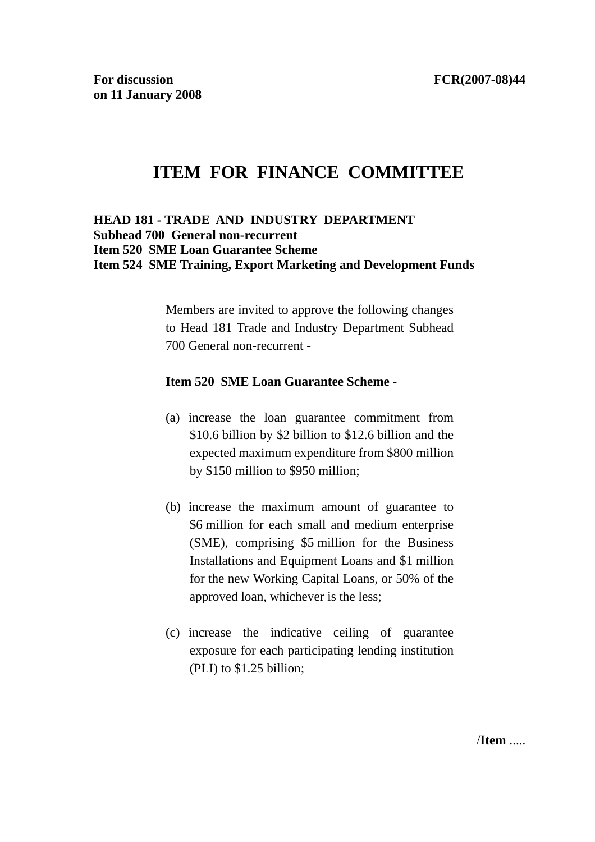# **ITEM FOR FINANCE COMMITTEE**

#### **HEAD 181 - TRADE AND INDUSTRY DEPARTMENT Subhead 700 General non-recurrent Item 520 SME Loan Guarantee Scheme Item 524 SME Training, Export Marketing and Development Funds**

Members are invited to approve the following changes to Head 181 Trade and Industry Department Subhead 700 General non-recurrent -

#### **Item 520 SME Loan Guarantee Scheme -**

- (a) increase the loan guarantee commitment from \$10.6 billion by \$2 billion to \$12.6 billion and the expected maximum expenditure from \$800 million by \$150 million to \$950 million;
- (b) increase the maximum amount of guarantee to \$6 million for each small and medium enterprise (SME), comprising \$5 million for the Business Installations and Equipment Loans and \$1 million for the new Working Capital Loans, or 50% of the approved loan, whichever is the less;
- (c) increase the indicative ceiling of guarantee exposure for each participating lending institution (PLI) to \$1.25 billion;

/**Item** .....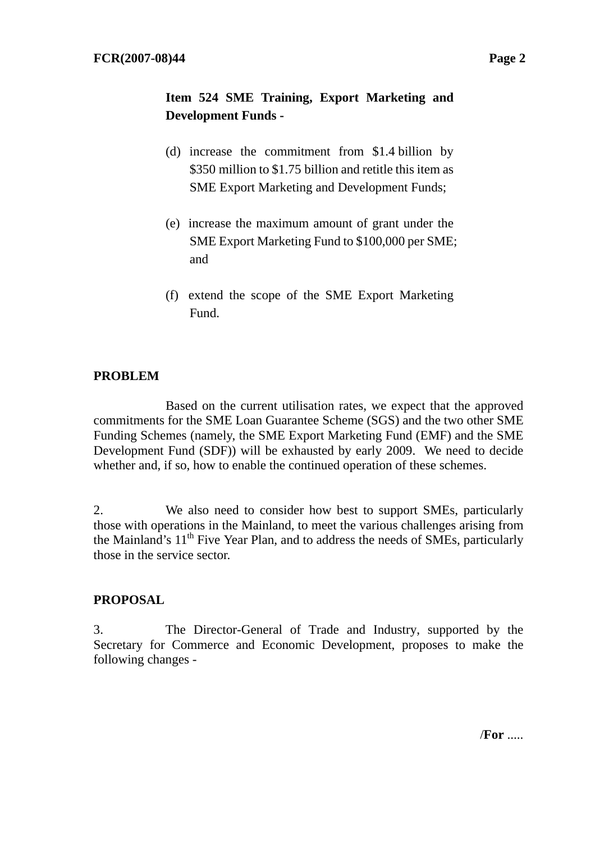# **Item 524 SME Training, Export Marketing and Development Funds -**

- (d) increase the commitment from \$1.4 billion by \$350 million to \$1.75 billion and retitle this item as SME Export Marketing and Development Funds;
- (e) increase the maximum amount of grant under the SME Export Marketing Fund to \$100,000 per SME; and
- (f) extend the scope of the SME Export Marketing Fund.

### **PROBLEM**

 Based on the current utilisation rates, we expect that the approved commitments for the SME Loan Guarantee Scheme (SGS) and the two other SME Funding Schemes (namely, the SME Export Marketing Fund (EMF) and the SME Development Fund (SDF)) will be exhausted by early 2009. We need to decide whether and, if so, how to enable the continued operation of these schemes.

2. We also need to consider how best to support SMEs, particularly those with operations in the Mainland, to meet the various challenges arising from the Mainland's 11<sup>th</sup> Five Year Plan, and to address the needs of SMEs, particularly those in the service sector.

### **PROPOSAL**

3. The Director-General of Trade and Industry, supported by the Secretary for Commerce and Economic Development, proposes to make the following changes -

/**For** .....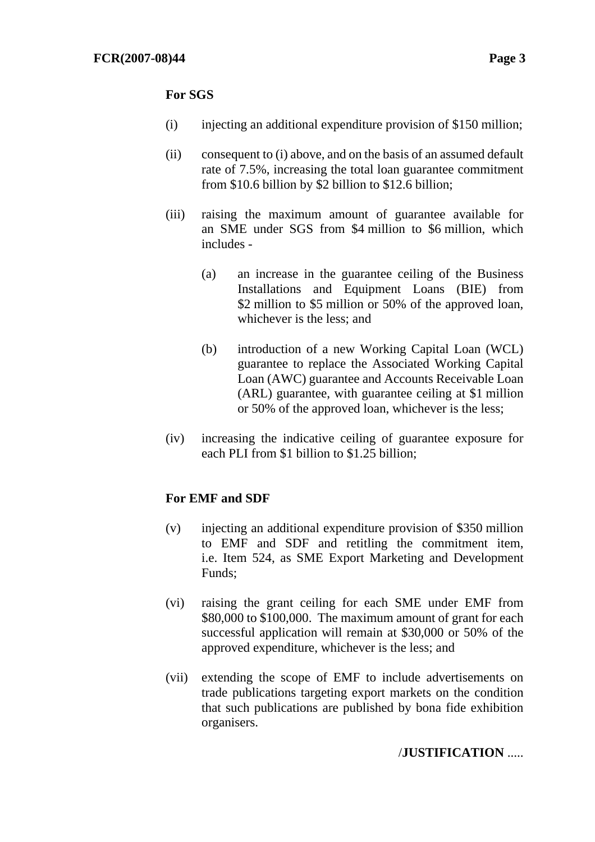#### **For SGS**

- (i) injecting an additional expenditure provision of \$150 million;
- (ii) consequent to (i) above, and on the basis of an assumed default rate of 7.5%, increasing the total loan guarantee commitment from \$10.6 billion by \$2 billion to \$12.6 billion;
- (iii) raising the maximum amount of guarantee available for an SME under SGS from \$4 million to \$6 million, which includes -
	- (a) an increase in the guarantee ceiling of the Business Installations and Equipment Loans (BIE) from \$2 million to \$5 million or 50% of the approved loan, whichever is the less; and
	- (b) introduction of a new Working Capital Loan (WCL) guarantee to replace the Associated Working Capital Loan (AWC) guarantee and Accounts Receivable Loan (ARL) guarantee, with guarantee ceiling at \$1 million or 50% of the approved loan, whichever is the less;
- (iv) increasing the indicative ceiling of guarantee exposure for each PLI from \$1 billion to \$1.25 billion;

### **For EMF and SDF**

- (v) injecting an additional expenditure provision of \$350 million to EMF and SDF and retitling the commitment item, i.e. Item 524, as SME Export Marketing and Development Funds;
- (vi) raising the grant ceiling for each SME under EMF from \$80,000 to \$100,000. The maximum amount of grant for each successful application will remain at \$30,000 or 50% of the approved expenditure, whichever is the less; and
- (vii) extending the scope of EMF to include advertisements on trade publications targeting export markets on the condition that such publications are published by bona fide exhibition organisers.

### /**JUSTIFICATION** .....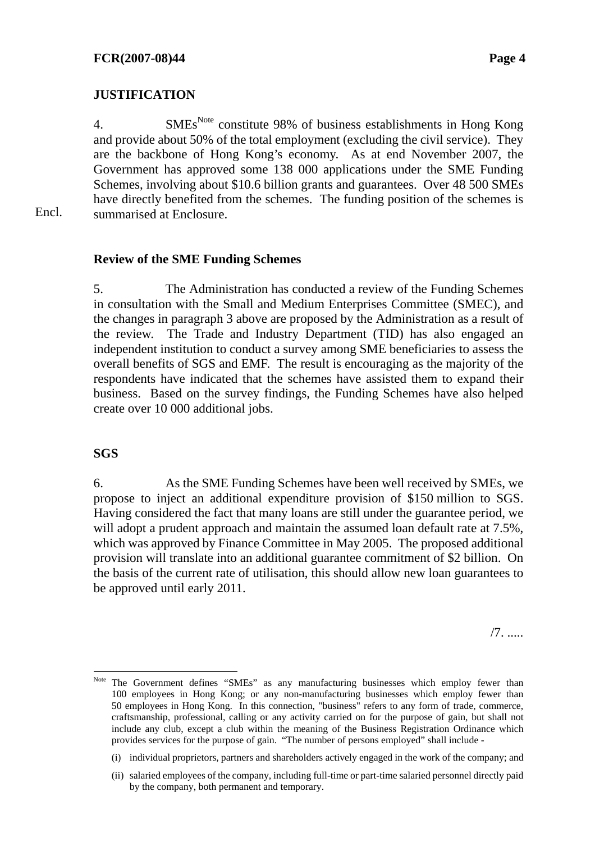# **JUSTIFICATION**

4. SMEs<sup>Note</sup> constitute 98% of business establishments in Hong Kong and provide about 50% of the total employment (excluding the civil service). They are the backbone of Hong Kong's economy. As at end November 2007, the Government has approved some 138 000 applications under the SME Funding Schemes, involving about \$10.6 billion grants and guarantees. Over 48 500 SMEs have directly benefited from the schemes. The funding position of the schemes is summarised at Enclosure.

Encl.

#### **Review of the SME Funding Schemes**

5. The Administration has conducted a review of the Funding Schemes in consultation with the Small and Medium Enterprises Committee (SMEC), and the changes in paragraph 3 above are proposed by the Administration as a result of the review. The Trade and Industry Department (TID) has also engaged an independent institution to conduct a survey among SME beneficiaries to assess the overall benefits of SGS and EMF. The result is encouraging as the majority of the respondents have indicated that the schemes have assisted them to expand their business. Based on the survey findings, the Funding Schemes have also helped create over 10 000 additional jobs.

#### **SGS**

 $\overline{a}$ 

6. As the SME Funding Schemes have been well received by SMEs, we propose to inject an additional expenditure provision of \$150 million to SGS. Having considered the fact that many loans are still under the guarantee period, we will adopt a prudent approach and maintain the assumed loan default rate at 7.5%, which was approved by Finance Committee in May 2005. The proposed additional provision will translate into an additional guarantee commitment of \$2 billion. On the basis of the current rate of utilisation, this should allow new loan guarantees to be approved until early 2011.

/7. .....

Note The Government defines "SMEs" as any manufacturing businesses which employ fewer than 100 employees in Hong Kong; or any non-manufacturing businesses which employ fewer than 50 employees in Hong Kong. In this connection, "business" refers to any form of trade, commerce, craftsmanship, professional, calling or any activity carried on for the purpose of gain, but shall not include any club, except a club within the meaning of the Business Registration Ordinance which provides services for the purpose of gain. "The number of persons employed" shall include -

<sup>(</sup>i) individual proprietors, partners and shareholders actively engaged in the work of the company; and

<sup>(</sup>ii) salaried employees of the company, including full-time or part-time salaried personnel directly paid by the company, both permanent and temporary.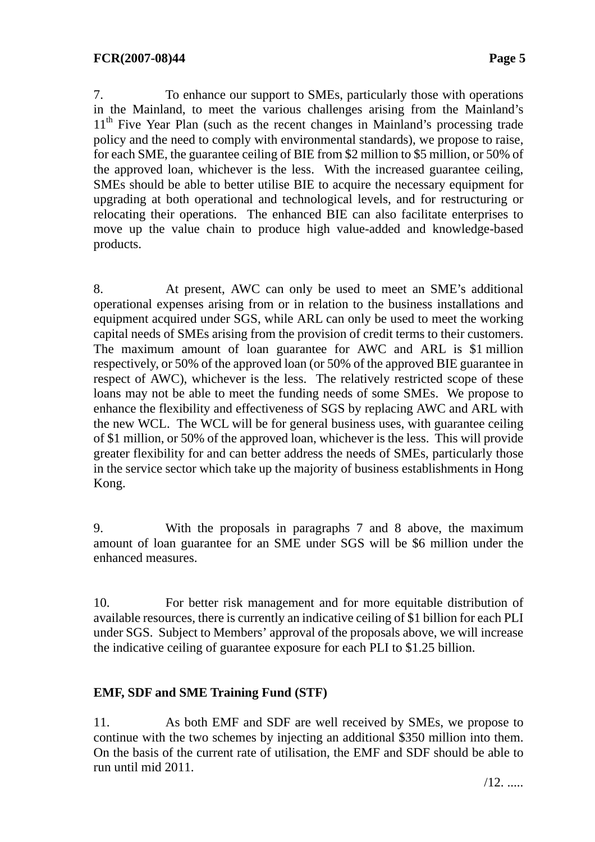7. To enhance our support to SMEs, particularly those with operations in the Mainland, to meet the various challenges arising from the Mainland's 11<sup>th</sup> Five Year Plan (such as the recent changes in Mainland's processing trade policy and the need to comply with environmental standards), we propose to raise, for each SME, the guarantee ceiling of BIE from \$2 million to \$5 million, or 50% of the approved loan, whichever is the less. With the increased guarantee ceiling, SMEs should be able to better utilise BIE to acquire the necessary equipment for upgrading at both operational and technological levels, and for restructuring or relocating their operations. The enhanced BIE can also facilitate enterprises to move up the value chain to produce high value-added and knowledge-based products.

8. At present, AWC can only be used to meet an SME's additional operational expenses arising from or in relation to the business installations and equipment acquired under SGS, while ARL can only be used to meet the working capital needs of SMEs arising from the provision of credit terms to their customers. The maximum amount of loan guarantee for AWC and ARL is \$1 million respectively, or 50% of the approved loan (or 50% of the approved BIE guarantee in respect of AWC), whichever is the less. The relatively restricted scope of these loans may not be able to meet the funding needs of some SMEs. We propose to enhance the flexibility and effectiveness of SGS by replacing AWC and ARL with the new WCL. The WCL will be for general business uses, with guarantee ceiling of \$1 million, or 50% of the approved loan, whichever is the less. This will provide greater flexibility for and can better address the needs of SMEs, particularly those in the service sector which take up the majority of business establishments in Hong Kong.

9. With the proposals in paragraphs 7 and 8 above, the maximum amount of loan guarantee for an SME under SGS will be \$6 million under the enhanced measures.

10. For better risk management and for more equitable distribution of available resources, there is currently an indicative ceiling of \$1 billion for each PLI under SGS. Subject to Members' approval of the proposals above, we will increase the indicative ceiling of guarantee exposure for each PLI to \$1.25 billion.

# **EMF, SDF and SME Training Fund (STF)**

11. As both EMF and SDF are well received by SMEs, we propose to continue with the two schemes by injecting an additional \$350 million into them. On the basis of the current rate of utilisation, the EMF and SDF should be able to run until mid 2011.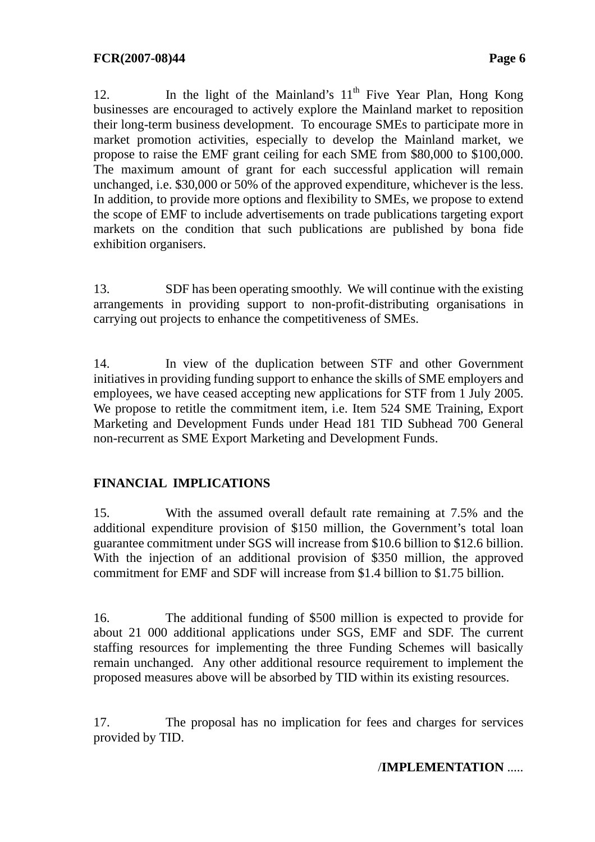12. In the light of the Mainland's  $11<sup>th</sup>$  Five Year Plan, Hong Kong businesses are encouraged to actively explore the Mainland market to reposition their long-term business development. To encourage SMEs to participate more in market promotion activities, especially to develop the Mainland market, we propose to raise the EMF grant ceiling for each SME from \$80,000 to \$100,000. The maximum amount of grant for each successful application will remain unchanged, i.e. \$30,000 or 50% of the approved expenditure, whichever is the less. In addition, to provide more options and flexibility to SMEs, we propose to extend the scope of EMF to include advertisements on trade publications targeting export markets on the condition that such publications are published by bona fide exhibition organisers.

13. SDF has been operating smoothly. We will continue with the existing arrangements in providing support to non-profit-distributing organisations in carrying out projects to enhance the competitiveness of SMEs.

14. In view of the duplication between STF and other Government initiatives in providing funding support to enhance the skills of SME employers and employees, we have ceased accepting new applications for STF from 1 July 2005. We propose to retitle the commitment item, i.e. Item 524 SME Training, Export Marketing and Development Funds under Head 181 TID Subhead 700 General non-recurrent as SME Export Marketing and Development Funds.

# **FINANCIAL IMPLICATIONS**

15. With the assumed overall default rate remaining at 7.5% and the additional expenditure provision of \$150 million, the Government's total loan guarantee commitment under SGS will increase from \$10.6 billion to \$12.6 billion. With the injection of an additional provision of \$350 million, the approved commitment for EMF and SDF will increase from \$1.4 billion to \$1.75 billion.

16. The additional funding of \$500 million is expected to provide for about 21 000 additional applications under SGS, EMF and SDF. The current staffing resources for implementing the three Funding Schemes will basically remain unchanged. Any other additional resource requirement to implement the proposed measures above will be absorbed by TID within its existing resources.

17. The proposal has no implication for fees and charges for services provided by TID.

/**IMPLEMENTATION** .....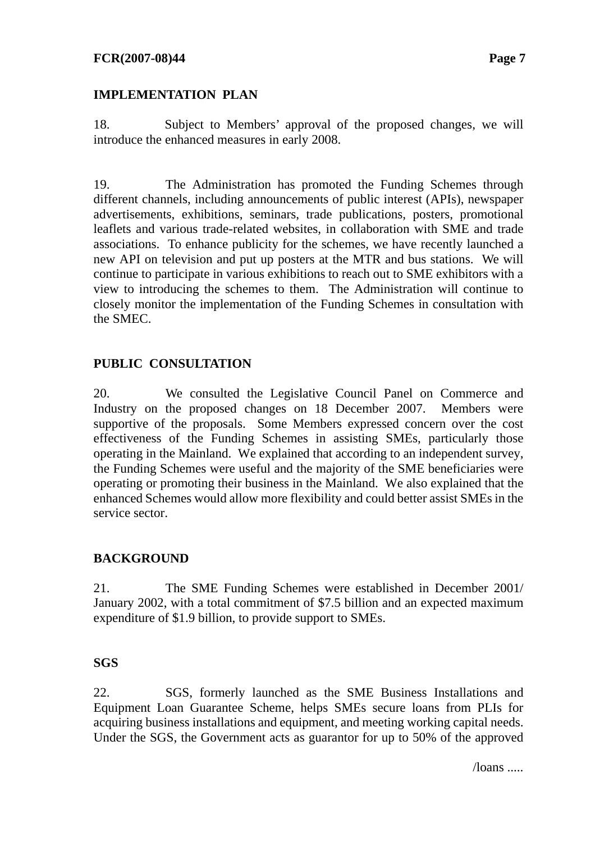#### **FCR(2007-08)44** Page 7

### **IMPLEMENTATION PLAN**

18. Subject to Members' approval of the proposed changes, we will introduce the enhanced measures in early 2008.

19. The Administration has promoted the Funding Schemes through different channels, including announcements of public interest (APIs), newspaper advertisements, exhibitions, seminars, trade publications, posters, promotional leaflets and various trade-related websites, in collaboration with SME and trade associations. To enhance publicity for the schemes, we have recently launched a new API on television and put up posters at the MTR and bus stations. We will continue to participate in various exhibitions to reach out to SME exhibitors with a view to introducing the schemes to them. The Administration will continue to closely monitor the implementation of the Funding Schemes in consultation with the SMEC.

# **PUBLIC CONSULTATION**

20. We consulted the Legislative Council Panel on Commerce and Industry on the proposed changes on 18 December 2007. Members were supportive of the proposals. Some Members expressed concern over the cost effectiveness of the Funding Schemes in assisting SMEs, particularly those operating in the Mainland. We explained that according to an independent survey, the Funding Schemes were useful and the majority of the SME beneficiaries were operating or promoting their business in the Mainland. We also explained that the enhanced Schemes would allow more flexibility and could better assist SMEs in the service sector.

# **BACKGROUND**

21. The SME Funding Schemes were established in December 2001/ January 2002, with a total commitment of \$7.5 billion and an expected maximum expenditure of \$1.9 billion, to provide support to SMEs.

# **SGS**

22. SGS, formerly launched as the SME Business Installations and Equipment Loan Guarantee Scheme, helps SMEs secure loans from PLIs for acquiring business installations and equipment, and meeting working capital needs. Under the SGS, the Government acts as guarantor for up to 50% of the approved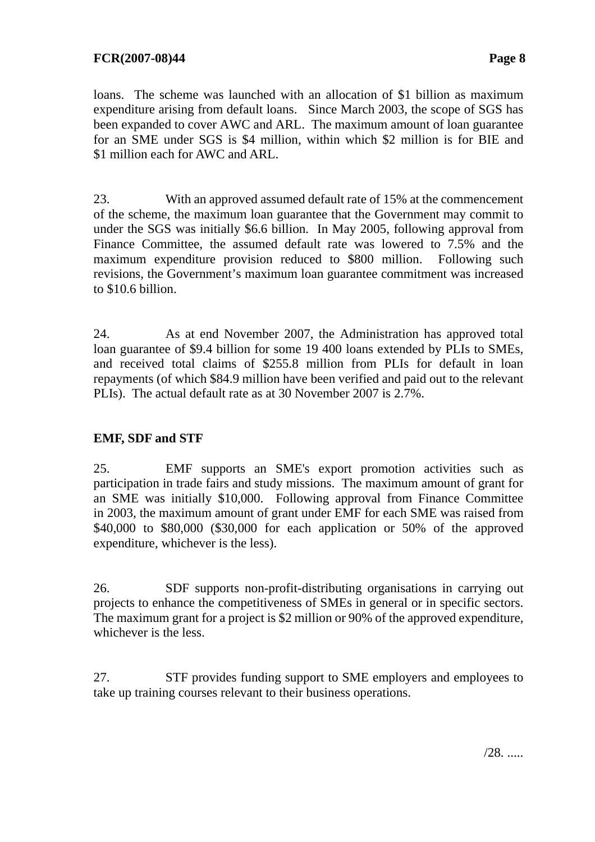loans. The scheme was launched with an allocation of \$1 billion as maximum expenditure arising from default loans. Since March 2003, the scope of SGS has been expanded to cover AWC and ARL. The maximum amount of loan guarantee for an SME under SGS is \$4 million, within which \$2 million is for BIE and \$1 million each for AWC and ARL.

23. With an approved assumed default rate of 15% at the commencement of the scheme, the maximum loan guarantee that the Government may commit to under the SGS was initially \$6.6 billion. In May 2005, following approval from Finance Committee, the assumed default rate was lowered to 7.5% and the maximum expenditure provision reduced to \$800 million. Following such revisions, the Government's maximum loan guarantee commitment was increased to \$10.6 billion.

24. As at end November 2007, the Administration has approved total loan guarantee of \$9.4 billion for some 19 400 loans extended by PLIs to SMEs, and received total claims of \$255.8 million from PLIs for default in loan repayments (of which \$84.9 million have been verified and paid out to the relevant PLIs). The actual default rate as at 30 November 2007 is 2.7%.

### **EMF, SDF and STF**

25. EMF supports an SME's export promotion activities such as participation in trade fairs and study missions. The maximum amount of grant for an SME was initially \$10,000. Following approval from Finance Committee in 2003, the maximum amount of grant under EMF for each SME was raised from \$40,000 to \$80,000 (\$30,000 for each application or 50% of the approved expenditure, whichever is the less).

26. SDF supports non-profit-distributing organisations in carrying out projects to enhance the competitiveness of SMEs in general or in specific sectors. The maximum grant for a project is \$2 million or 90% of the approved expenditure, whichever is the less.

27. STF provides funding support to SME employers and employees to take up training courses relevant to their business operations.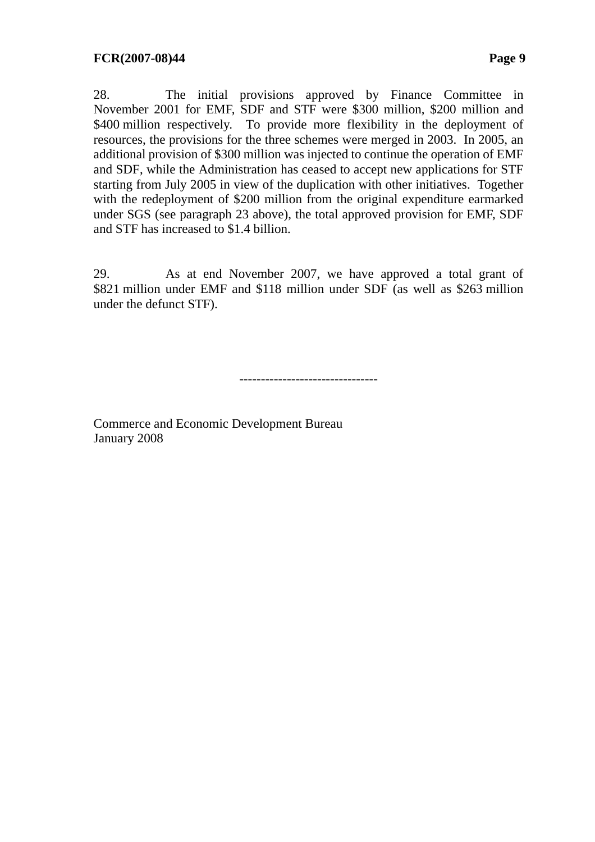28. The initial provisions approved by Finance Committee in November 2001 for EMF, SDF and STF were \$300 million, \$200 million and \$400 million respectively. To provide more flexibility in the deployment of resources, the provisions for the three schemes were merged in 2003. In 2005, an additional provision of \$300 million was injected to continue the operation of EMF and SDF, while the Administration has ceased to accept new applications for STF starting from July 2005 in view of the duplication with other initiatives. Together with the redeployment of \$200 million from the original expenditure earmarked under SGS (see paragraph 23 above), the total approved provision for EMF, SDF and STF has increased to \$1.4 billion.

29. As at end November 2007, we have approved a total grant of \$821 million under EMF and \$118 million under SDF (as well as \$263 million under the defunct STF).

--------------------------------

Commerce and Economic Development Bureau January 2008